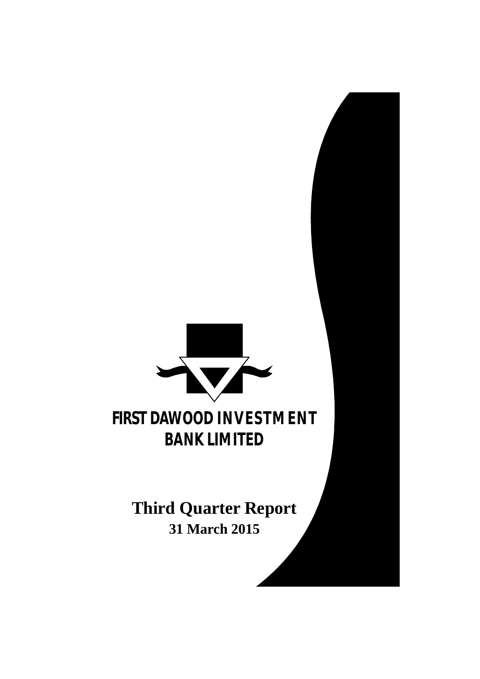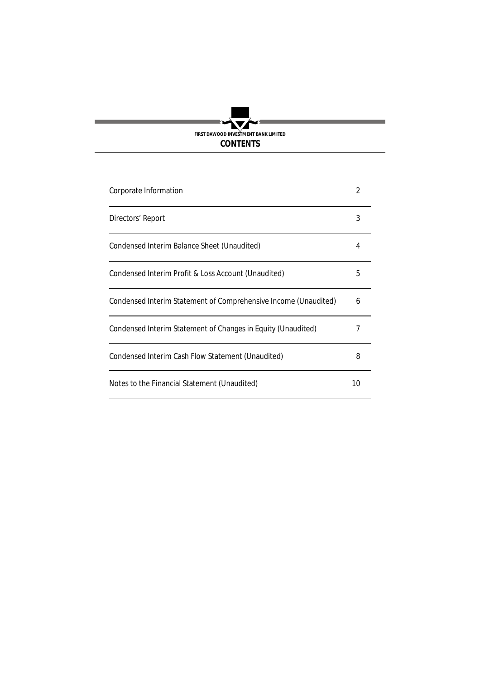

| Corporate Information                                           |    |
|-----------------------------------------------------------------|----|
| Directors' Report                                               | 3  |
| Condensed Interim Balance Sheet (Unaudited)                     | 4  |
| Condensed Interim Profit & Loss Account (Unaudited)             | 5  |
| Condensed Interim Statement of Comprehensive Income (Unaudited) | 6  |
| Condensed Interim Statement of Changes in Equity (Unaudited)    |    |
| Condensed Interim Cash Flow Statement (Unaudited)               | 8  |
| Notes to the Financial Statement (Unaudited)                    | 10 |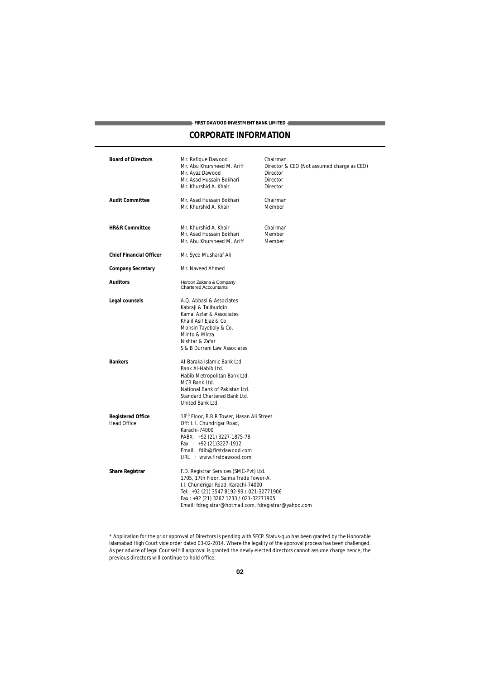# **FIRST DAWOOD INVESTMENT BANK LIMITED CORPORATE INFORMATION**

| <b>Board of Directors</b>                      | Mr. Rafique Dawood<br>Mr. Abu Khursheed M. Ariff<br>Mr. Ayaz Dawood<br>Mr. Asad Hussain Bokhari<br>Mr. Khurshid A. Khair                                                                                                                                                | Chairman<br>Director & CEO (Not assumed charge as CEO)<br>Director<br>Director<br>Director |
|------------------------------------------------|-------------------------------------------------------------------------------------------------------------------------------------------------------------------------------------------------------------------------------------------------------------------------|--------------------------------------------------------------------------------------------|
| <b>Audit Committee</b>                         | Mr. Asad Hussain Bokhari<br>Mr. Khurshid A. Khair                                                                                                                                                                                                                       | Chairman<br>Member                                                                         |
| <b>HR&amp;R Committee</b>                      | Mr. Khurshid A. Khair<br>Mr. Asad Hussain Bokhari<br>Mr. Abu Khursheed M. Ariff                                                                                                                                                                                         | Chairman<br>Member<br>Member                                                               |
| <b>Chief Financial Officer</b>                 | Mr. Syed Musharaf Ali                                                                                                                                                                                                                                                   |                                                                                            |
| <b>Company Secretary</b>                       | Mr. Naveed Ahmed                                                                                                                                                                                                                                                        |                                                                                            |
| <b>Auditors</b>                                | Haroon Zakaria & Company<br>Chartered Accountants                                                                                                                                                                                                                       |                                                                                            |
| Legal counsels                                 | A.Q. Abbasi & Associates<br>Kabraji & Talibuddin<br>Kamal Azfar & Associates<br>Khalil Asif Ejaz & Co.<br>Mohsin Tayebaly & Co.<br>Minto & Mirza<br>Nishtar & Zafar<br>S & B Durrani Law Associates                                                                     |                                                                                            |
| <b>Bankers</b>                                 | Al-Baraka Islamic Bank Ltd.<br>Bank Al-Habib Ltd.<br>Habib Metropolitan Bank Ltd.<br>MCB Bank Ltd.<br>National Bank of Pakistan Ltd.<br>Standard Chartered Bank Ltd.<br>United Bank Ltd.                                                                                |                                                                                            |
| <b>Registered Office</b><br><b>Head Office</b> | 18 <sup>th</sup> Floor, B.R.R Tower, Hasan Ali Street<br>Off: I. I. Chundrigar Road,<br>Karachi-74000<br>PABX: +92 (21) 3227-1875-78<br>Fax : $+92$ (21)3227-1912<br>Email: fdib@firstdawood.com<br>URL : www.firstdawood.com                                           |                                                                                            |
| <b>Share Registrar</b>                         | F.D. Registrar Services (SMC-Pvt) Ltd.<br>1705, 17th Floor, Saima Trade Tower-A,<br>I.I. Chundrigar Road, Karachi-74000<br>Tel: +92 (21) 3547 8192-93 / 021-32771906<br>Fax: +92 (21) 3262 1233 / 021-32271905<br>Email: fdregistrar@hotmail.com, fdregistrar@yahoo.com |                                                                                            |

<sup>\*</sup> Application for the prior approval of Directors is pending with SECP. Status-quo has been granted by the Honorable Islamabad High Court vide order dated 03-02-2014. Where the legality of the approval process has been challenged. As per advice of legal Counsel till approval is granted the newly elected directors cannot assume charge hence, the previous directors will continue to hold office.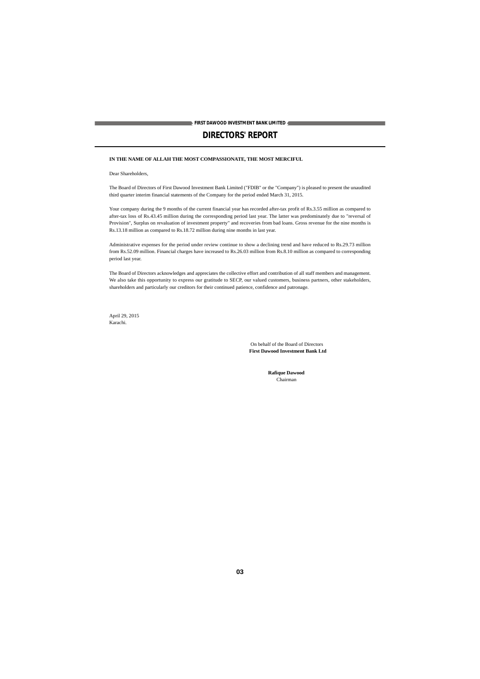# **DIRECTORS' REPORT**

### **IN THE NAME OF ALLAH THE MOST COMPASSIONATE, THE MOST MERCIFUL**

Dear Shareholders,

The Board of Directors of First Dawood Investment Bank Limited ("FDIB" or the "Company") is pleased to present the unaudited third quarter interim financial statements of the Company for the period ended March 31, 2015.

Your company during the 9 months of the current financial year has recorded after-tax profit of Rs.3.55 million as compared to after-tax loss of Rs.43.45 million during the corresponding period last year. The latter was predominately due to "reversal of Provision", Surplus on revaluation of investment property" and recoveries from bad loans. Gross revenue for the nine months is Rs.13.18 million as compared to Rs.18.72 million during nine months in last year.

Administrative expenses for the period under review continue to show a declining trend and have reduced to Rs.29.73 million from Rs.52.09 million. Financial charges have increased to Rs.26.03 million from Rs.8.10 million as compared to corresponding period last year.

The Board of Directors acknowledges and appreciates the collective effort and contribution of all staff members and management. We also take this opportunity to express our gratitude to SECP, our valued customers, business partners, other stakeholders, shareholders and particularly our creditors for their continued patience, confidence and patronage.

April 29, 2015 Karachi.

> On behalf of the Board of Directors **First Dawood Investment Bank Ltd**

> > **Rafique Dawood** Chairman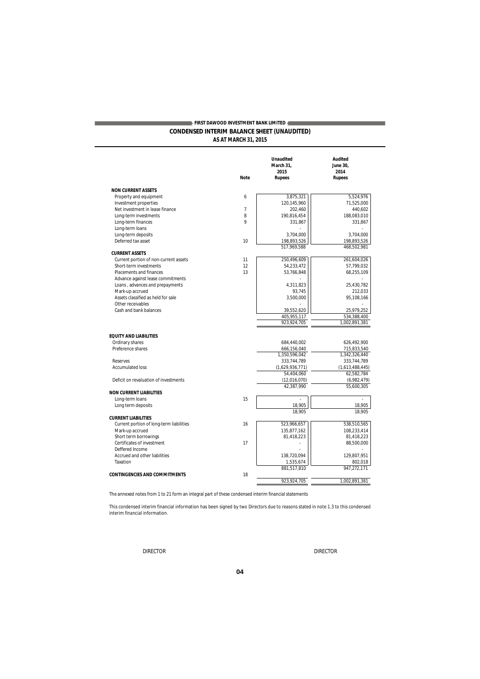## **CONDENSED INTERIM BALANCE SHEET (UNAUDITED) AS AT MARCH 31, 2015 FIRST DAWOOD INVESTMENT BANK LIMITED**

|  | <b>AJ AI IVIANUITJI, ZUTJ</b> |  |
|--|-------------------------------|--|
|  |                               |  |

|                                          | <b>Note</b>    | <b>Unaudited</b><br>March 31,<br>2015<br><b>Rupees</b> | <b>Audited</b><br>June 30,<br>2014<br><b>Rupees</b> |
|------------------------------------------|----------------|--------------------------------------------------------|-----------------------------------------------------|
| <b>NON CURRENT ASSETS</b>                |                |                                                        |                                                     |
| Property and equipment                   | 6              | 3,875,321                                              | 5,524,976                                           |
| Investment properties                    |                | 120,145,960                                            | 71,525,000                                          |
| Net investment in lease finance          | $\overline{7}$ | 202,460                                                | 440,602                                             |
| Long-term investments                    | 8              | 190,816,454                                            | 188,083,010                                         |
| Long-term finances                       | 9              | 331,867                                                | 331,867                                             |
| Long-term loans                          |                |                                                        |                                                     |
| Long-term deposits                       |                | 3.704.000                                              | 3.704.000                                           |
| Deferred tax asset                       | 10             | 198,893,526                                            | 198,893,526                                         |
|                                          |                | 517,969,588                                            | 468,502,981                                         |
| <b>CURRENT ASSETS</b>                    |                |                                                        |                                                     |
| Current portion of non-current assets    | 11             | 250,496,609                                            | 261,604,026                                         |
| Short-term investments                   | 12             | 54,233,472                                             | 57,799,032                                          |
| Placements and finances                  | 13             | 53.766.848                                             | 68,255,109                                          |
| Advance against lease commitments        |                |                                                        |                                                     |
| Loans, advances and prepayments          |                | 4,311,823                                              | 25,430,782                                          |
| Mark-up accrued                          |                | 93,745                                                 | 212,033                                             |
| Assets classified as held for sale       |                | 3,500,000                                              | 95,108,166                                          |
| Other receivables                        |                |                                                        |                                                     |
| Cash and bank balances                   |                | 39,552,620                                             | 25,979,252                                          |
|                                          |                | 405,955,117                                            | 534,388,400                                         |
|                                          |                | 923,924,705                                            | 1,002,891,381                                       |
|                                          |                |                                                        |                                                     |
| <b>EQUITY AND LIABILITIES</b>            |                |                                                        |                                                     |
| Ordinary shares                          |                | 684,440,002                                            | 626,492,900                                         |
| Preference shares                        |                | 666,156,040                                            | 715,833,540                                         |
|                                          |                | 1,350,596,042                                          | 1,342,326,440                                       |
| <b>Reserves</b>                          |                | 333,744,789                                            | 333,744,789                                         |
| <b>Accumulated loss</b>                  |                | (1,629,936,771)                                        | (1,613,488,445)                                     |
|                                          |                | 54.404.060                                             | 62,582,784                                          |
| Deficit on revaluation of investments    |                | (12,016,070)                                           | (6,982,479)                                         |
|                                          |                | 42,387,990                                             | 55,600,305                                          |
| <b>NON CURRENT LIABILITIES</b>           |                |                                                        |                                                     |
| Long-term loans                          | 15             |                                                        |                                                     |
| Long term deposits                       |                | 18,905                                                 | 18,905                                              |
|                                          |                | 18.905                                                 | 18.905                                              |
| <b>CURRENT LIABILITIES</b>               |                |                                                        |                                                     |
| Current portion of long-term liabilities | 16             | 523,966,657                                            | 538,510,565                                         |
| Mark-up accrued                          |                | 135,877,162                                            | 108,233,414                                         |
| Short term borrowings                    |                | 81,418,223                                             | 81,418,223                                          |
| Certificates of investment               | 17             |                                                        | 88,500,000                                          |
| Deffered Income                          |                |                                                        |                                                     |
| Accrued and other liabilities            |                | 138,720,094                                            | 129,807,951                                         |
| Taxation                                 |                | 1,535,674                                              | 802,018                                             |
|                                          |                | 881,517,810                                            | 947,272,171                                         |
| <b>CONTINGENCIES AND COMMITMENTS</b>     | 18             |                                                        |                                                     |
|                                          |                | 923,924,705                                            | 1,002,891,381                                       |
|                                          |                |                                                        |                                                     |

The annexed notes from 1 to 21 form an integral part of these condensed interim financial statements

This condensed interim financial information has been signed by two Directors due to reasons stated in note 1.3 to this condensed interim financial information.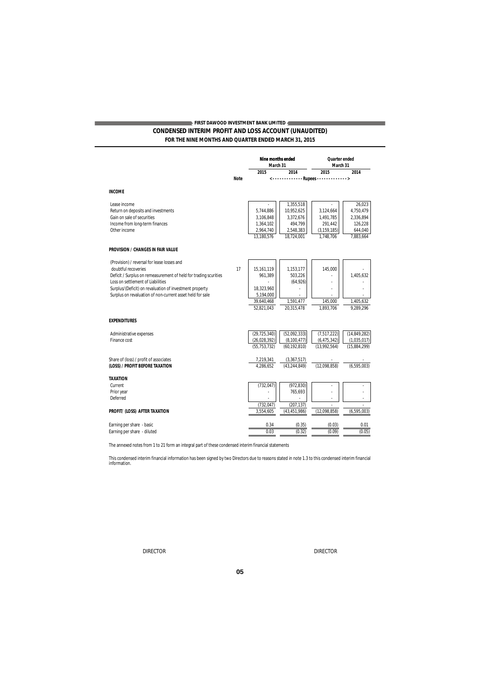## **CONDENSED INTERIM PROFIT AND LOSS ACCOUNT (UNAUDITED) FOR THE NINE MONTHS AND QUARTER ENDED MARCH 31, 2015 FIRST DAWOOD INVESTMENT BANK LIMITED**

|                                                                  |             | Nine months ended |                               | <b>Ouarter</b> ended               |                |
|------------------------------------------------------------------|-------------|-------------------|-------------------------------|------------------------------------|----------------|
|                                                                  |             | March 31<br>2015  | 2014                          | March 31<br>2015                   | 2014           |
|                                                                  | <b>Note</b> |                   |                               |                                    |                |
|                                                                  |             |                   |                               | <-------------Rupees-------------> |                |
| <b>INCOME</b>                                                    |             |                   |                               |                                    |                |
| Lease income                                                     |             | ä,                | 1.355.518                     |                                    | 26.023         |
| Return on deposits and investments                               |             | 5.744.886         | 10,952,625                    | 3,124,664                          | 4,750,479      |
| Gain on sale of securities                                       |             | 3,106,848         | 3,372,676                     | 1,491,785                          | 2,336,894      |
| Income from long-term finances                                   |             | 1,364,102         | 494,799                       | 291,442                            | 126,228        |
| Other income                                                     |             | 2,964,740         | 2,548,383                     | (3, 159, 185)                      | 644,040        |
|                                                                  |             | 13,180,576        | 18,724,001                    | 1,748,706                          | 7,883,664      |
| <b>PROVISION / CHANGES IN FAIR VALUE</b>                         |             |                   |                               |                                    |                |
| (Provision) / reversal for lease losses and                      |             |                   |                               |                                    |                |
| doubtful recoveries                                              | 17          | 15, 161, 119      | 1,153,177                     | 145,000                            |                |
| Deficit / Surplus on remeasurement of held for trading scurities |             | 961,389           | 503,226                       |                                    | 1,405,632      |
| Loss on settlement of Liabilities                                |             |                   | (64, 926)                     |                                    |                |
| Surplus/(Deficit) on revaluation of investment property          |             | 18,323,960        |                               |                                    |                |
| Surplus on revaluation of non-current asset held for sale        |             | 5,194,000         |                               |                                    |                |
|                                                                  |             | 39,640,468        | 1,591,477                     | 145,000                            | 1,405,632      |
|                                                                  |             | 52,821,043        | 20,315,478                    | 1,893,706                          | 9,289,296      |
| <b>EXPENDITURES</b>                                              |             |                   |                               |                                    |                |
| Administrative expenses                                          |             | (29, 725, 340)    | (52,092,333)                  | (7, 517, 222)                      | (14, 849, 282) |
| Finance cost                                                     |             | (26, 028, 392)    | (8, 100, 477)                 | (6, 475, 342)                      | (1,035,017)    |
|                                                                  |             | (55, 753, 732)    | (60, 192, 810)                | (13,992,564)                       | (15,884,299)   |
| Share of (loss) / profit of associates                           |             | 7,219,341         |                               |                                    |                |
| (LOSS) / PROFIT BEFORE TAXATION                                  |             | 4.286.652         | (3,367,517)<br>(43, 244, 849) | (12,098,858)                       | (6, 595, 003)  |
|                                                                  |             |                   |                               |                                    |                |
| <b>TAXATION</b>                                                  |             |                   |                               |                                    |                |
| Current                                                          |             | (732, 047)        | (972, 830)                    |                                    |                |
| Prior year                                                       |             |                   | 765,693                       |                                    |                |
| Deferred                                                         |             |                   |                               |                                    |                |
|                                                                  |             | (732, 047)        | (207, 137)                    | (12,098,858)                       |                |
| PROFIT/ (LOSS) AFTER TAXATION                                    |             | 3,554,605         | (43, 451, 986)                |                                    | (6, 595, 003)  |
| Earning per share - basic                                        |             | 0.34              | (0.35)                        | (0.03)                             | 0.01           |
| Earning per share - diluted                                      |             | 0.03              | (0.32)                        | (0.09)                             | (0.05)         |
|                                                                  |             |                   |                               |                                    |                |

The annexed notes from 1 to 21 form an integral part of these condensed interim financial statements

This condensed interim financial information has been signed by two Directors due to reasons stated in note 1.3 to this condensed interim financial information.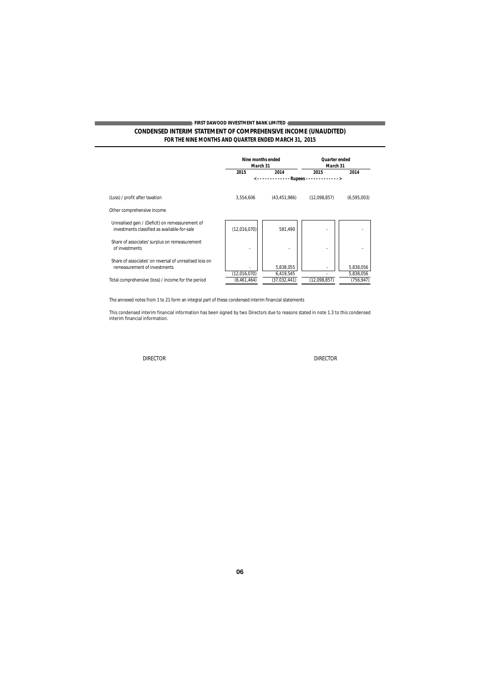## **CONDENSED INTERIM STATEMENT OF COMPREHENSIVE INCOME (UNAUDITED) FOR THE NINE MONTHS AND QUARTER ENDED MARCH 31, 2015 FIRST DAWOOD INVESTMENT BANK LIMITED**

|                                                                                                 | March 31      | <b>Nine months ended</b> | <b>Quarter</b> ended<br>March 31 |                        |
|-------------------------------------------------------------------------------------------------|---------------|--------------------------|----------------------------------|------------------------|
|                                                                                                 | 2015          | 2014                     | 2015                             | 2014                   |
|                                                                                                 |               | ------------             | $Runees$                         |                        |
| (Loss) / profit after taxation                                                                  | 3,554,606     | (43, 451, 986)           | (12,098,857)                     | (6,595,003)            |
| Other comprehensive income                                                                      |               |                          |                                  |                        |
| Unrealised gain / (Deficit) on remeasurement of<br>investments classified as available-for-sale | (12,016,070)  | 581,490                  |                                  |                        |
| Share of associates' surplus on remeasurement<br>of investments                                 | ٠             |                          |                                  |                        |
| Share of associates' on reversal of unrealised loss on<br>remeasurement of investments          | (12,016,070)  | 5,838,055<br>6,419,545   |                                  | 5,838,056<br>5,838,056 |
| Total comprehensive (loss) / income for the period                                              | (8, 461, 464) | (37,032,441)             | (12,098,857)                     | (756,947)              |

The annexed notes from 1 to 21 form an integral part of these condensed interim financial statements

This condensed interim financial information has been signed by two Directors due to reasons stated in note 1.3 to this condensed interim financial information.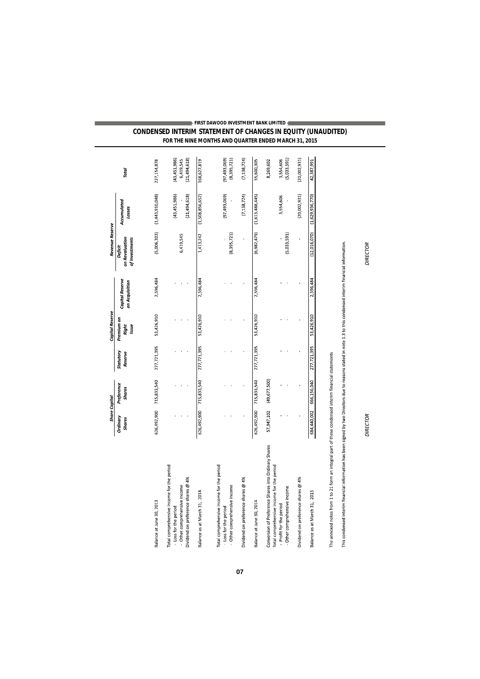| FIRST DAWOOD INVESTMENT BANK LIMITED 4                              |  |
|---------------------------------------------------------------------|--|
| <b>CONDENSED INTERIM STATEMENT OF CHANGES IN EQUITY (UNAUDITED)</b> |  |
| FOR THE NINE MONTHS AND QUARTER ENDED MARCH 31, 2015                |  |

|                                                                                                                                                                  | <b>Share Capital</b>      |                             |                      | <b>Capital Reserve</b>       |                                   | Revenue Reserve                             |                                |                                               |
|------------------------------------------------------------------------------------------------------------------------------------------------------------------|---------------------------|-----------------------------|----------------------|------------------------------|-----------------------------------|---------------------------------------------|--------------------------------|-----------------------------------------------|
|                                                                                                                                                                  | Ordinary<br><b>Shares</b> | Preference<br><b>Shares</b> | Statutory<br>Reserve | Premium on<br>Issue<br>Right | Capital Reserve<br>on Acquisition | on Revaluation<br>of Investments<br>Deficit | Accumulated<br>Losses          | Total                                         |
| Balance at June 30, 2013                                                                                                                                         | 626,492,900               | 715,833,540                 | 277,721,395          | 53,426,910                   | 2,596,484                         | (5,006,303)                                 | (1,443,910,048)                | 227,154,878                                   |
| Total comprehensive income for the period<br>Dividend on preference shares @ 4%<br>- Other comprehensive income<br>- Loss for the period                         |                           |                             |                      |                              |                                   | 6,419,545                                   | (43, 451, 986)<br>(21,494,618) | (21, 494, 618)<br>(43, 451, 986)<br>6,419,545 |
| Balance as at March 31, 2014                                                                                                                                     | 626,492,900               | 715,833,540                 | 277,721,395          | 53,426,910                   | 2,596,484                         | 1,413,242                                   | (1,508,856,652)                | 168,627,819                                   |
| Total comprehensive income for the period<br>- Other comprehensive income<br>- Loss for the period                                                               |                           |                             |                      |                              |                                   | (8,395,721)                                 | (97, 493, 069)                 | (8,395,721)<br>(97, 493, 069)                 |
| Dividend on preference shares @ 4%                                                                                                                               |                           |                             |                      |                              |                                   |                                             | (7, 138, 724)                  | (7, 138, 724)                                 |
| Balance at June 30, 2014                                                                                                                                         | 626,492,900               | 715,833,540                 | 277,721,395          | 53,426,910                   | 2,596,484                         | (6,982,479)                                 | (1, 613, 488, 445)             | 55,600,305                                    |
| Conversion of Preference Shares into Ordinary Shares<br>Total comprehensive income for the period                                                                | 57,947,102                | (49,677,500)                |                      |                              |                                   |                                             |                                | 8,269,602                                     |
| - Other comprehensive income<br>- Profit for the period                                                                                                          |                           |                             |                      |                              |                                   | (5,033,591)                                 | 3,554,606                      | (5,033,591)<br>3,554,606                      |
| Dividend on preference shares @ 4%                                                                                                                               |                           |                             |                      |                              |                                   |                                             | (20,002,931)                   | (20,002,931)                                  |
| Balance as at March 31, 2015                                                                                                                                     | 684,440,002               | 666,156,040                 | 277,721,395          | 53,426,910                   | 2,596,484                         | (12,016,070)                                | (1,629,936,770)                | 42,387,991                                    |
| The annexed notes from 1 to 21 form an integral part of these condensed interim financial statements                                                             |                           |                             |                      |                              |                                   |                                             |                                |                                               |
| This condensed interim financial information has been signed by two Directors due to reasons stated in note 1.3 to this condensed interim financial information. |                           |                             |                      |                              |                                   |                                             |                                |                                               |
|                                                                                                                                                                  | <b>DIRECTOR</b>           |                             |                      |                              |                                   | <b>DIRECTOR</b>                             |                                |                                               |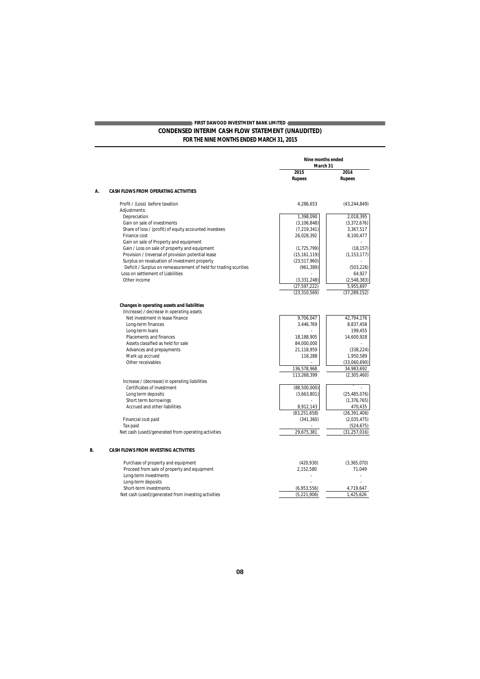### **CONDENSED INTERIM CASH FLOW STATEMENT (UNAUDITED) FOR THE NINE MONTHS ENDED MARCH 31, 2015 FIRST DAWOOD INVESTMENT BANK LIMITED**

|    |                                                                                                                                                                                                                                                                                                                                                                  | <b>Nine months ended</b><br>March 31                                                                                                     |                                                                                                                                            |
|----|------------------------------------------------------------------------------------------------------------------------------------------------------------------------------------------------------------------------------------------------------------------------------------------------------------------------------------------------------------------|------------------------------------------------------------------------------------------------------------------------------------------|--------------------------------------------------------------------------------------------------------------------------------------------|
|    |                                                                                                                                                                                                                                                                                                                                                                  | 2015                                                                                                                                     | 2014                                                                                                                                       |
|    |                                                                                                                                                                                                                                                                                                                                                                  | <b>Rupees</b>                                                                                                                            | <b>Rupees</b>                                                                                                                              |
| Α. | <b>CASH FLOWS FROM OPERATING ACTIVITIES</b>                                                                                                                                                                                                                                                                                                                      |                                                                                                                                          |                                                                                                                                            |
|    | Profit / (Loss) before taxation                                                                                                                                                                                                                                                                                                                                  | 4,286,653                                                                                                                                | (43, 244, 849)                                                                                                                             |
|    | Adjustments:                                                                                                                                                                                                                                                                                                                                                     |                                                                                                                                          |                                                                                                                                            |
|    | Depreciation                                                                                                                                                                                                                                                                                                                                                     | 1,398,090                                                                                                                                | 2,018,395                                                                                                                                  |
|    | Gain on sale of investments                                                                                                                                                                                                                                                                                                                                      | (3, 106, 848)                                                                                                                            | (3,372,676)                                                                                                                                |
|    | Share of loss / (profit) of equity accounted investees                                                                                                                                                                                                                                                                                                           | (7, 219, 341)                                                                                                                            | 3,367,517                                                                                                                                  |
|    | Finance cost                                                                                                                                                                                                                                                                                                                                                     | 26,028,392                                                                                                                               | 8,100,477                                                                                                                                  |
|    | Gain on sale of Property and equipment                                                                                                                                                                                                                                                                                                                           |                                                                                                                                          |                                                                                                                                            |
|    | Gain / Loss on sale of property and equipment                                                                                                                                                                                                                                                                                                                    | (1, 725, 799)                                                                                                                            | (18, 157)                                                                                                                                  |
|    | Provision / (reversal of provision potential lease                                                                                                                                                                                                                                                                                                               | (15, 161, 119)                                                                                                                           | (1, 153, 177)                                                                                                                              |
|    | Surplus on revaluation of investment property                                                                                                                                                                                                                                                                                                                    | (23,517,960)                                                                                                                             |                                                                                                                                            |
|    | Deficit / Surplus on remeasurement of held for trading scurities                                                                                                                                                                                                                                                                                                 | (961, 389)                                                                                                                               | (503, 226)                                                                                                                                 |
|    | Loss on settlement of Liabilities                                                                                                                                                                                                                                                                                                                                |                                                                                                                                          | 64,927                                                                                                                                     |
|    | Other income                                                                                                                                                                                                                                                                                                                                                     | (3, 331, 248)                                                                                                                            | (2,548,383)                                                                                                                                |
|    |                                                                                                                                                                                                                                                                                                                                                                  | (27,597,222)                                                                                                                             | 5,955,697                                                                                                                                  |
|    |                                                                                                                                                                                                                                                                                                                                                                  | (23, 310, 569)                                                                                                                           | (37, 289, 152)                                                                                                                             |
|    | (Increase) / decrease in operating assets<br>Net investment in lease finance<br>Long-term finances<br>Long-term loans<br>Placements and finances<br>Assets classified as held for sale<br>Advances and prepayments<br>Mark up accrued<br>Other receivables<br>Increase / (decrease) in operating liabilities<br>Certificates of investment<br>Long term deposits | 9,706,047<br>3,446,769<br>18,188,905<br>84,000,000<br>21,118,959<br>118,288<br>136,578,968<br>113,268,399<br>(88,500,000)<br>(3,663,801) | 42,794,176<br>8,837,458<br>199,455<br>14,600,928<br>(338, 224)<br>1,950,589<br>(33,060,690)<br>34,983,692<br>(2,305,460)<br>(25, 485, 076) |
|    | Short term borrowings                                                                                                                                                                                                                                                                                                                                            |                                                                                                                                          | (1, 376, 765)                                                                                                                              |
|    | Accrued and other liabilities                                                                                                                                                                                                                                                                                                                                    | 8,912,143                                                                                                                                | 470,435                                                                                                                                    |
|    |                                                                                                                                                                                                                                                                                                                                                                  | (83, 251, 658)                                                                                                                           | (26, 391, 406)                                                                                                                             |
|    | Financial cost paid                                                                                                                                                                                                                                                                                                                                              | (341, 360)                                                                                                                               | (2,035,475)                                                                                                                                |
|    | Tax paid                                                                                                                                                                                                                                                                                                                                                         |                                                                                                                                          | (524, 675)                                                                                                                                 |
|    | Net cash (used)/generated from operating activities                                                                                                                                                                                                                                                                                                              | 29,675,381                                                                                                                               | (31, 257, 016)                                                                                                                             |
|    |                                                                                                                                                                                                                                                                                                                                                                  |                                                                                                                                          |                                                                                                                                            |
|    | <b>CASH FLOWS FROM INVESTING ACTIVITIES</b>                                                                                                                                                                                                                                                                                                                      |                                                                                                                                          |                                                                                                                                            |
|    | Purchase of property and equipment<br>Proceed from sale of property and equipment<br>Long-term investments                                                                                                                                                                                                                                                       | (420, 930)<br>2,152,580                                                                                                                  | (3,365,070)<br>71.049                                                                                                                      |
|    | Long-term deposits                                                                                                                                                                                                                                                                                                                                               |                                                                                                                                          |                                                                                                                                            |
|    | Short-term investments                                                                                                                                                                                                                                                                                                                                           | (6,953,556)                                                                                                                              | 4,719,647                                                                                                                                  |
|    | Net cash (used)/generated from investing activities                                                                                                                                                                                                                                                                                                              | (5, 221, 906)                                                                                                                            | 1,425,626                                                                                                                                  |

*B.*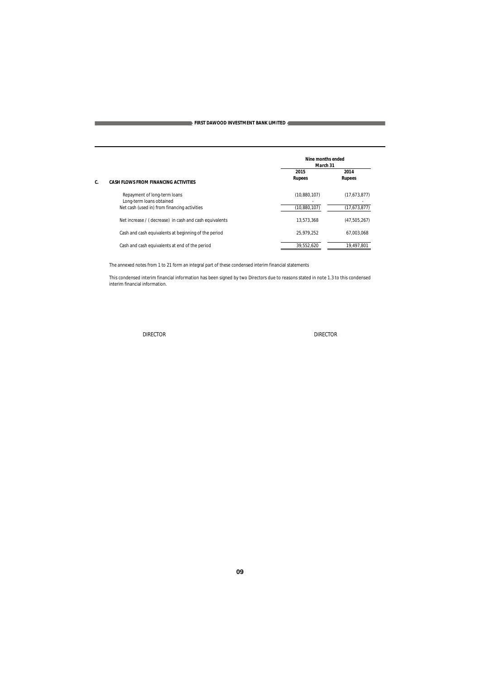|                                                                                                          | Nine months ended<br>March 31 |                              |
|----------------------------------------------------------------------------------------------------------|-------------------------------|------------------------------|
| <b>CASH FLOWS FROM FINANCING ACTIVITIES</b>                                                              | 2015<br><b>Rupees</b>         | 2014<br><b>Rupees</b>        |
| Repayment of long-term loans<br>Long-term loans obtained<br>Net cash (used in) from financing activities | (10,880,107)<br>(10,880,107)  | (17,673,877)<br>(17,673,877) |
| Net increase / (decrease) in cash and cash equivalents                                                   | 13.573.368                    | (47, 505, 267)               |
| Cash and cash equivalents at beginning of the period                                                     | 25.979.252                    | 67.003.068                   |
| Cash and cash equivalents at end of the period                                                           | 39.552.620                    | 19.497.801                   |

The annexed notes from 1 to 21 form an integral part of these condensed interim financial statements

This condensed interim financial information has been signed by two Directors due to reasons stated in note 1.3 to this condensed interim financial information.

*C.*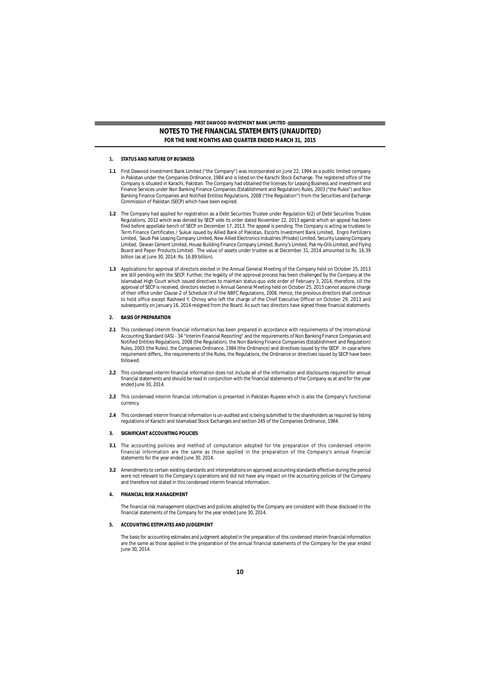### **NOTES TO THE FINANCIAL STATEMENTS (UNAUDITED) FOR THE NINE MONTHS AND QUARTER ENDED MARCH 31, 2015 FIRST DAWOOD INVESTMENT BANK LIMITED**

#### **1. STATUS AND NATURE OF BUSINESS**

- **1.1** First Dawood Investment Bank Limited ("the Company") was incorporated on June 22, 1994 as a public limited company in Pakistan under the Companies Ordinance, 1984 and is listed on the Karachi Stock Exchange. The registered office of the<br>Company is situated in Karachi, Pakistan. The Company had obtained the licenses for Leasing Business Finance Services under Non Banking Finance Companies (Establishment and Regulation) Rules, 2003 ("the Rules") and Non Banking Finance Companies and Notified Entities Regulations, 2008 ("the Regulation") from the Securities and Exchange Commission of Pakistan (SECP) which have been expired.
- **1.2** The Company had applied for registration as a Debt Securities Trustee under Regulation 6(2) of Debt Securities Trustee Regulations, 2012 which was denied by SECP vide its order dated November 22, 2013 against which an appeal has been filed before appellate bench of SECP on December 17, 2013. The appeal is pending. The Company is acting as trustees to Term Finance Certificates / Sukuk issued by Allied Bank of Pakistan, Escorts Investment Bank Limited, Engro Fertilizers<br>Limited, Saudi Pak Leasing Company Limited, New Allied Electronics Industries (Private) Limited, Secur Limited, Dewan Cement Limited, House Building Finance Company Limited, Bunny's Limited, Pak Hy-Oils Limited, and Flying Board and Paper Products Limited. The value of assets under trustee as at December 31, 2014 amounted to Rs. 16.39 billion (as at June 30, 2014: Rs. 16.89 billion).
- **1.3** Applications for approval of directors elected in the Annual General Meeting of the Company held on October 25, 2013 are still pending with the SECP. Further, the legality of the approval process has been challenged by the Company at the Islamabad High Court which issued directives to maintain status-quo vide order of February 3, 2014, therefore, till the approval of SECP is received, directors elected in Annual General Meeting held on October 25, 2013 cannot assume charge of their office under Clause-2 of Schedule IX of the NBFC Regulations, 2008. Hence, the previous directors shall continue to hold office except Rasheed Y. Chinoy who left the charge of the Chief Executive Officer on October 29, 2013 and subsequently on January 16, 2014 resigned from the Board. As such two directors have signed these financial statements.

#### **2. BASIS OF PREPARATION**

- **2.1** This condensed interim financial information has been prepared in accordance with requirements of the International Accounting Standard (IAS) - 34 "Interim Financial Reporting" and the requirements of Non Banking Finance Companies and<br>Notified Entities Regulations, 2008 (the Regulation), the Non Banking Finance Companies (Establishment Rules, 2003 (the Rules), the Companies Ordinance, 1984 (the Ordinance) and directives issued by the SECP . In case where requirement differs,, the requirements of the Rules, the Regulations, the Ordinance or directives issued by SECP have been followed.
- **2.2** This condensed interim financial information does not include all of the information and disclosures required for annual financial statements and should be read in conjunction with the financial statements of the Company as at and for the year ended June 30, 2014.
- **2.3** This condensed interim financial information is presented in Pakistan Rupees which is also the Company's functional currency.
- **2.4** This condensed interim financial information is un-audited and is being submitted to the shareholders as required by listing regulations of Karachi and Islamabad Stock Exchanges and section 245 of the Companies Ordinance, 1984.

#### **3. SIGNIFICANT ACCOUNTING POLICIES**

- **3.1** The accounting policies and method of computation adopted for the preparation of this condensed interim financial information are the same as those applied in the preparation of the Company's annual financial statements for the year ended June 30, 2014.
- **3.2** Amendmentsto certain existing standards and interpretations on approved accounting standards effective during the period were not relevant to the Company's operations and did not have any impact on the accounting policies of the Company and therefore not stated in this condensed interim financial information.

#### **4. FINANCIAL RISK MANAGEMENT**

The financial risk management objectives and policies adopted by the Company are consistent with those disclosed in the financial statements of the Company for the year ended June 30, 2014.

#### **5. ACCOUNTING ESTIMATES AND JUDGEMENT**

The basis for accounting estimates and judgment adopted in the preparation of this condensed interim financial information are the same as those applied in the preparation of the annual financial statements of the Company for the year ended June 30, 2014.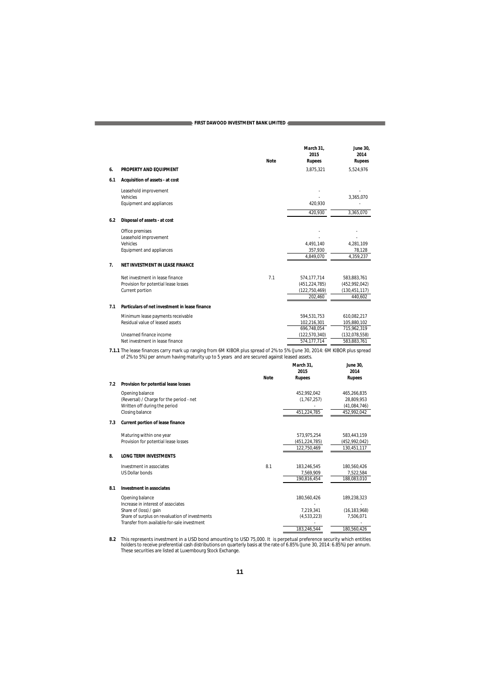|     |                                                                                                                                                                                                                          | <b>Note</b> | March 31,<br>2015<br><b>Rupees</b> | June 30,<br>2014<br><b>Rupees</b> |
|-----|--------------------------------------------------------------------------------------------------------------------------------------------------------------------------------------------------------------------------|-------------|------------------------------------|-----------------------------------|
| 6.  | PROPERTY AND EQUIPMENT                                                                                                                                                                                                   |             | 3,875,321                          | 5,524,976                         |
| 6.1 | Acquisition of assets - at cost                                                                                                                                                                                          |             |                                    |                                   |
|     | Leasehold improvement                                                                                                                                                                                                    |             |                                    |                                   |
|     | Vehicles                                                                                                                                                                                                                 |             |                                    | 3,365,070                         |
|     | Equipment and appliances                                                                                                                                                                                                 |             | 420.930                            |                                   |
|     |                                                                                                                                                                                                                          |             | 420,930                            | 3,365,070                         |
| 6.2 | Disposal of assets - at cost                                                                                                                                                                                             |             |                                    |                                   |
|     | Office premises                                                                                                                                                                                                          |             |                                    |                                   |
|     | Leasehold improvement                                                                                                                                                                                                    |             |                                    |                                   |
|     | Vehicles                                                                                                                                                                                                                 |             | 4,491,140                          | 4,281,109                         |
|     | Equipment and appliances                                                                                                                                                                                                 |             | 357,930<br>4,849,070               | 78,128<br>4,359,237               |
| 7.  | NET INVESTMENT IN LEASE FINANCE                                                                                                                                                                                          |             |                                    |                                   |
|     |                                                                                                                                                                                                                          |             |                                    |                                   |
|     | Net investment in lease finance                                                                                                                                                                                          | 7.1         | 574,177,714                        | 583,883,761                       |
|     | Provision for potential lease losses<br>Current portion                                                                                                                                                                  |             | (451, 224, 785)                    | (452, 992, 042)                   |
|     |                                                                                                                                                                                                                          |             | (122, 750, 469)<br>202,460         | (130, 451, 117)<br>440,602        |
|     |                                                                                                                                                                                                                          |             |                                    |                                   |
| 7.1 | Particulars of net investment in lease finance                                                                                                                                                                           |             |                                    |                                   |
|     | Minimum lease payments receivable                                                                                                                                                                                        |             | 594,531,753                        | 610,082,217                       |
|     | Residual value of leased assets                                                                                                                                                                                          |             | 102,216,301                        | 105,880,102                       |
|     |                                                                                                                                                                                                                          |             | 696,748,054                        | 715,962,319                       |
|     | Unearned finance income<br>Net investment in lease finance                                                                                                                                                               |             | (122, 570, 340)<br>574,177,714     | (132,078,558)<br>583,883,761      |
|     |                                                                                                                                                                                                                          |             |                                    |                                   |
|     | 7.1.1 The lease finances carry mark up ranging from 6M KIBOR plus spread of 2% to 5% (June 30, 2014: 6M KIBOR plus spread<br>of 2% to 5%) per annum having maturity up to 5 years and are secured against leased assets. |             |                                    |                                   |
|     |                                                                                                                                                                                                                          |             | March 31.                          | <b>June 30.</b>                   |
|     |                                                                                                                                                                                                                          |             | 2015                               | 2014                              |
| 7.2 | Provision for potential lease losses                                                                                                                                                                                     | <b>Note</b> | <b>Rupees</b>                      | <b>Rupees</b>                     |
|     |                                                                                                                                                                                                                          |             |                                    |                                   |
|     | Opening balance<br>(Reversal) / Charge for the period - net                                                                                                                                                              |             | 452,992,042<br>(1, 767, 257)       | 465,266,835<br>28,809,953         |
|     | Written off during the period                                                                                                                                                                                            |             |                                    | (41,084,746)                      |
|     | Closing balance                                                                                                                                                                                                          |             | 451,224,785                        | 452,992,042                       |
| 7.3 | <b>Current portion of lease finance</b>                                                                                                                                                                                  |             |                                    |                                   |
|     |                                                                                                                                                                                                                          |             |                                    |                                   |
|     | Maturing within one year<br>Provision for potential lease losses                                                                                                                                                         |             | 573,975,254<br>(451,224,785)       | 583,443,159<br>(452,992,042)      |
|     |                                                                                                                                                                                                                          |             | 122,750,469                        | 130,451,117                       |
| 8.  | <b>LONG TERM INVESTMENTS</b>                                                                                                                                                                                             |             |                                    |                                   |
|     | Investment in associates                                                                                                                                                                                                 | 8.1         | 183,246,545                        | 180,560,426                       |
|     | <b>US Dollar bonds</b>                                                                                                                                                                                                   |             | 7,569,909                          | 7,522,584                         |
|     |                                                                                                                                                                                                                          |             | 190,816,454                        | 188,083,010                       |
| 8.1 | Investment in associates                                                                                                                                                                                                 |             |                                    |                                   |

| Investment in associates                       |             |                |
|------------------------------------------------|-------------|----------------|
| Opening balance                                | 180.560.426 | 189,238,323    |
| Increase in interest of associates             | ۰           |                |
| Share of (loss) / gain                         | 7.219.341   | (16, 183, 968) |
| Share of surplus on revaluation of investments | (4,533,223) | 7.506.071      |
| Transfer from available-for-sale investment    | ۰           |                |
|                                                | 183.246.544 | 180.560.426    |
|                                                |             |                |

8.2 This represents investment in a USD bond amounting to USD 75,000. It is perpetual preference security which entitles<br>holders to receive preferential cash distributions on quarterly basis at the rate of 6.85% (June 30,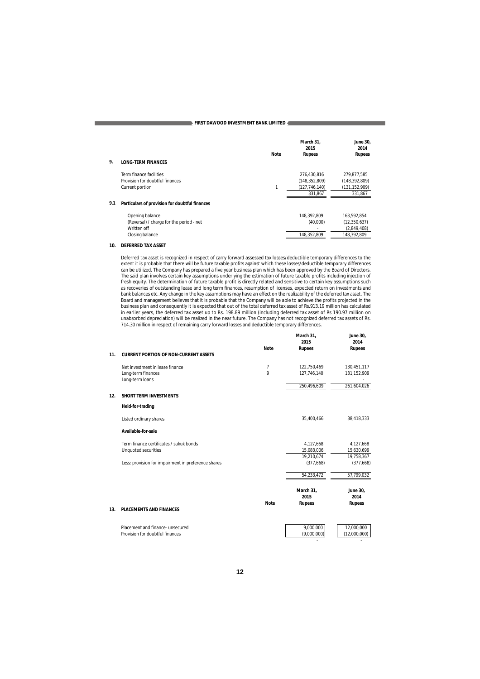| 9.  | <b>LONG-TERM FINANCES</b>                      | <b>Note</b> | March 31,<br>2015<br><b>Rupees</b> | <b>June 30.</b><br>2014<br><b>Rupees</b> |
|-----|------------------------------------------------|-------------|------------------------------------|------------------------------------------|
|     | Term finance facilities                        |             | 276.430.816                        | 279.877.585                              |
|     | Provision for doubtful finances                |             | (148, 352, 809)                    | (148, 392, 809)                          |
|     | Current portion                                | 1           | (127, 746, 140)                    | (131, 152, 909)                          |
|     |                                                |             | 331,867                            | 331,867                                  |
| 9.1 | Particulars of provision for doubtful finances |             |                                    |                                          |
|     | Opening balance                                |             | 148.392.809                        | 163,592,854                              |
|     | (Reversal) / charge for the period - net       |             | (40,000)                           | (12, 350, 637)                           |
|     | Written off                                    |             |                                    | (2,849,408)                              |
|     | Closing balance                                |             | 148,352,809                        | 148,392,809                              |

### **10. DEFERRED TAX ASSET**

Deferred tax asset is recognized in respect of carry forward assessed tax losses/deductible temporary differences to the extent it is probable that there will be future taxable profits against which these losses/deductible temporary differences<br>can be utilized. The Company has prepared a five year business plan which has been approved by the The said plan involves certain key assumptions underlying the estimation of future taxable profits including injection of<br>fresh equity. The determination of future taxable profit is directly related and sensitive to certai bank balances etc. Any change in the key assumptions may have an effect on the realizability of the deferred tax asset. The Board and management believes that it is probable that the Company will be able to achieve the profits projected in the<br>business plan and consequently it is expected that out of the total deferred tax asset of Rs.913.19 mi unabsorbed depreciation) will be realized in the near future. The Company has not recognized deferred tax assets of Rs. 714.30 million in respect of remaining carry forward losses and deductible temporary differences.

|                                              |                                                                                                            | March 31,<br>2015          | <b>June 30,</b><br>2014<br><b>Rupees</b>                                |
|----------------------------------------------|------------------------------------------------------------------------------------------------------------|----------------------------|-------------------------------------------------------------------------|
| <b>CURRENT PORTION OF NON-CURRENT ASSETS</b> |                                                                                                            |                            |                                                                         |
| Net investment in lease finance              | 7                                                                                                          | 122.750.469                | 130,451,117                                                             |
| Long-term finances                           | 9                                                                                                          | 127,746,140                | 131,152,909                                                             |
|                                              |                                                                                                            | 250,496,609                | 261.604.026                                                             |
| <b>SHORT TERM INVESTMENTS</b>                |                                                                                                            |                            |                                                                         |
| <b>Held-for-trading</b>                      |                                                                                                            |                            |                                                                         |
| Listed ordinary shares                       |                                                                                                            | 35.400.466                 | 38,418,333                                                              |
| Available-for-sale                           |                                                                                                            |                            |                                                                         |
| Term finance certificates / sukuk bonds      |                                                                                                            | 4,127,668                  | 4,127,668                                                               |
| Unquoted securities                          |                                                                                                            | 15,083,006                 | 15,630,699                                                              |
|                                              |                                                                                                            |                            | 19,758,367                                                              |
|                                              |                                                                                                            |                            | (377, 668)                                                              |
|                                              |                                                                                                            | 54,233,472                 | 57,799,032                                                              |
|                                              |                                                                                                            | March 31,<br>2015          | June 30,<br>2014                                                        |
| <b>PLACEMENTS AND FINANCES</b>               |                                                                                                            |                            | <b>Rupees</b>                                                           |
|                                              |                                                                                                            |                            | 12,000,000                                                              |
| Provision for doubtful finances              |                                                                                                            | (9,000,000)                | (12,000,000)                                                            |
|                                              | Long-term loans<br>Less: provision for impairment in preference shares<br>Placement and finance- unsecured | <b>Note</b><br><b>Note</b> | <b>Rupees</b><br>19,210,674<br>(377, 668)<br><b>Rupees</b><br>9,000,000 |

-

-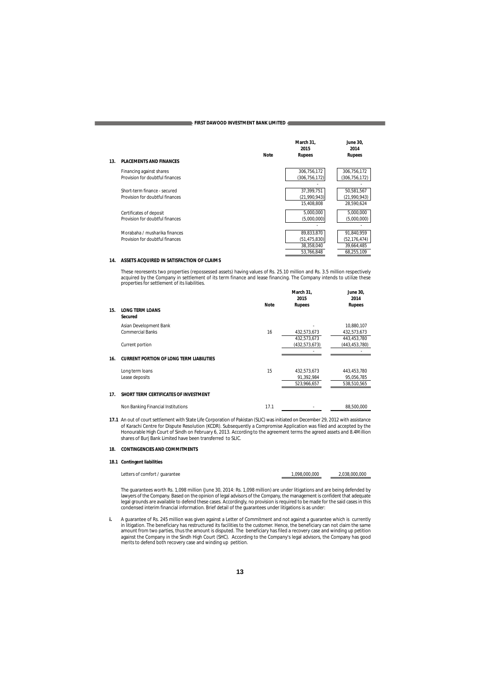| 13. | <b>PLACEMENTS AND FINANCES</b>                                   | <b>Note</b> | March 31.<br>2015<br><b>Rupees</b>                       | June 30.<br>2014<br><b>Rupees</b>                      |
|-----|------------------------------------------------------------------|-------------|----------------------------------------------------------|--------------------------------------------------------|
|     | Financing against shares<br>Provision for doubtful finances      |             | 306,756,172<br>(306, 756, 172)                           | 306,756,172<br>(306, 756, 172)                         |
|     | Short-term finance - secured<br>Provision for doubtful finances  |             | 37,399,751<br>(21,990,943)<br>15.408.808                 | 50,581,567<br>(21,990,943)<br>28.590.624               |
|     | Certificates of deposit<br>Provision for doubtful finances       |             | 5,000,000<br>(5,000,000)                                 | 5,000,000<br>(5,000,000)                               |
|     | Morabaha / musharika finances<br>Provision for doubtful finances |             | 89,833,870<br>(51, 475, 830)<br>38,358,040<br>53,766,848 | 91,840,959<br>(52,176,474)<br>39,664,485<br>68,255,109 |

### **14. ASSETS ACQUIRED IN SATISFACTION OF CLAIMS**

These reoresents two properties (repossessed assets) having values of Rs. 25.10 million and Rs. 3.5 million respectively acquired by the Company in settlement of its term finance and lease financing. The Company intends to utilize these properties for settlement of its liabilities.

|     |                                                 |             | March 31,<br>2015 | <b>June 30,</b><br>2014 |
|-----|-------------------------------------------------|-------------|-------------------|-------------------------|
| 15. | <b>LONG TERM LOANS</b><br>Secured               | <b>Note</b> | <b>Rupees</b>     | <b>Rupees</b>           |
|     | Asian Development Bank                          |             |                   | 10,880,107              |
|     | <b>Commercial Banks</b>                         | 16          | 432,573,673       | 432,573,673             |
|     |                                                 |             | 432,573,673       | 443,453,780             |
|     | Current portion                                 |             | (432,573,673)     | (443,453,780)           |
| 16. | <b>CURRENT PORTION OF LONG TERM LIABILITIES</b> |             |                   |                         |
|     | Long term loans                                 | 15          | 432,573,673       | 443,453,780             |
|     | Lease deposits                                  |             | 91,392,984        | 95,056,785              |
|     |                                                 |             | 523,966,657       | 538,510,565             |
| 17. | SHORT TERM CERTIFICATES OF INVESTMENT           |             |                   |                         |
|     | Non Banking Financial Institutions              | 17.1        |                   | 88,500,000              |

17.1 An out of court settlement with State Life Corporation of Pakistan (SLIC) was initiated on December 29, 2012 with assistance<br>of Karachi Centre for Dispute Resolution (KCDR). Subsequently a Compromise Application was f shares of Burj Bank Limited have been transferred to SLIC.

#### **18. CONTINGENCIES AND COMMITMENTS**

### **18.1 Contingent liabilities**

| Letters of comfort / guarantee | 1.098.000.000 | 2.038.000.000 |
|--------------------------------|---------------|---------------|
|                                |               |               |

The guarantees worth Rs. 1,098 million (June 30, 2014: Rs. 1,098 million) are under litigations and are being defended by<br>Iawyers of the Company. Based on the opinion of legal advisors of the Company, the management is con legal grounds are available to defend these cases. Accordingly, no provision is required to be made for the said cases in this<br>condensed interim financial information. Brief detail of the guarantees under litigations is as

i. A guarantee of Rs. 245 million was given against a Letter of Commitment and not against a guarantee which is currently<br>in litigation. The beneficiary has restructured its facilities to the customer. Hence, the beneficia amount from two parties, thus the amount is disputed. The beneficiary has filed a recovery case and winding up petition<br>against the Company in the Sindh High Court (SHC). According to the Company's legal advisors, the Comp merits to defend both recovery case and winding up petition.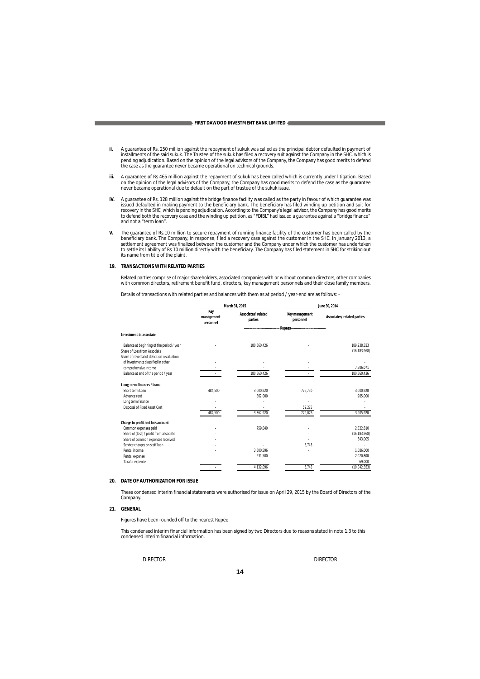- ii. A guarantee of Rs. 250 million against the repayment of sukuk was called as the principal debtor defaulted in payment of installments of the said sukuk. The Trustee of the sukuk has filed a recovery suit against the Co
- iii. A guarantee of Rs 465 million against the repayment of sukuk has been called which is currently under litigation. Based<br>on the opinion of the legal advisors of the Company, the Company has good merits to defend the ca
- IV. A guarantee of Rs. 128 million against the bridge finance facility was called as the party in favour of which guarantee was<br>issued defaulted in making payment to the beneficiary bank. The beneficiary has filed winding and not a "term loan".
- V. The guarantee of Rs.10 million to secure repayment of running finance facility of the customer has been called by the<br>beneficiary bank. The Company, in response, filed a recovery case against the customer in the SHC. In settlement agreement was finalized between the customer and the Company under which the customer has undertaken<br>to settle its liability of Rs 10 million directly with the beneficiary. The Company has filed statement in SHC

#### **19. TRANSACTIONS WITH RELATED PARTIES**

Related parties comprise of major shareholders, associated companies with or without common directors, other companies<br>with common directors, retirement benefit fund, directors, key management personnels and their close fa

Details of transactions with related parties and balances with them as at period / year-end are as follows: -

|                                             | March 31, 2015                 |                               | June 30, 2014                          |                            |
|---------------------------------------------|--------------------------------|-------------------------------|----------------------------------------|----------------------------|
|                                             | Key<br>management<br>personnel | Associates/related<br>parties | Key management<br>personnel            | Associates/related parties |
| <b>Investment</b> in associate              |                                |                               | Rupees-------------------------------- |                            |
|                                             |                                |                               |                                        |                            |
| Balance at beginning of the period / year   |                                | 180.560.426                   |                                        | 189.238.323                |
| Share of Loss from Associate                |                                |                               |                                        | (16, 183, 968)             |
| Share of reversal of deficit on revaluation |                                |                               |                                        |                            |
| of investments classified in other          |                                |                               |                                        |                            |
| comprehensive income                        |                                |                               |                                        | 7.506.071                  |
| Balance at end of the period / year         |                                | 180,560,426                   |                                        | 180,560,426                |
| Long term finances / loans                  |                                |                               |                                        |                            |
| Short term I oan                            | 484,500                        | 3,000,920                     | 726,750                                | 3,000,920                  |
| Advance rent                                |                                | 362.000                       |                                        | 905.000                    |
| Long term finance                           |                                |                               |                                        |                            |
| Disposal of Fixed Asset Cost                |                                |                               | 52.275                                 |                            |
|                                             | 484,500                        | 3,362,920                     | 779,025                                | 3,905,920                  |
| Charge to profit and loss account           |                                |                               |                                        |                            |
| Common expenses paid                        |                                | 759.040                       |                                        | 2.322.810                  |
| Share of (loss) / profit from associate     |                                |                               |                                        | (16, 183, 968)             |
| Share of common expenses received           |                                |                               |                                        | 643,005                    |
| Service charges on staff loan               |                                |                               | 5.743                                  |                            |
| Rental income                               |                                | 3,500,596                     |                                        | 1,086,000                  |
| Rental expense                              |                                | 631,500                       |                                        | 2,020,800                  |
| Takaful expense                             |                                |                               |                                        | 69,000                     |
|                                             |                                | 4,132,096                     | 5,743                                  | (10,042,353)               |

### **20. DATE OF AUTHORIZATION FOR ISSUE**

These condensed interim financial statements were authorised for issue on April 29, 2015 by the Board of Directors of the Company.

### **21. GENERAL**

Figures have been rounded off to the nearest Rupee.

This condensed interim financial information has been signed by two Directors due to reasons stated in note 1.3 to this condensed interim financial information.